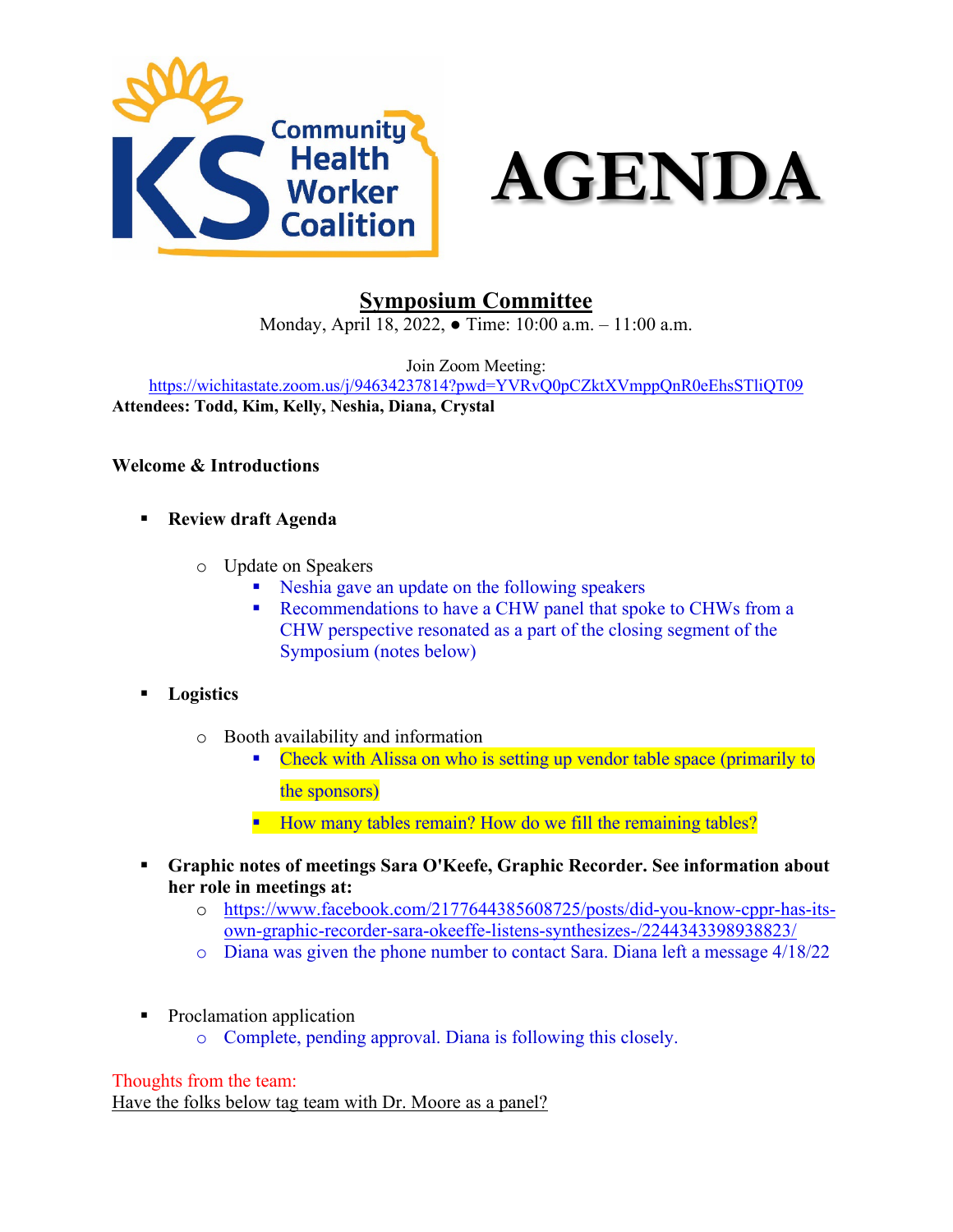



# **Symposium Committee**

Monday, April 18, 2022, ● Time: 10:00 a.m. – 11:00 a.m.

Join Zoom Meeting:

<https://wichitastate.zoom.us/j/94634237814?pwd=YVRvQ0pCZktXVmppQnR0eEhsSTliQT09> **Attendees: Todd, Kim, Kelly, Neshia, Diana, Crystal**

## **Welcome & Introductions**

- **Review draft Agenda**
	- o Update on Speakers
		- Neshia gave an update on the following speakers
		- Recommendations to have a CHW panel that spoke to CHWs from a CHW perspective resonated as a part of the closing segment of the Symposium (notes below)
- **Logistics**
	- o Booth availability and information
		- Check with Alissa on who is setting up vendor table space (primarily to the sponsors)
		- How many tables remain? How do we fill the remaining tables?
- **Graphic notes of meetings Sara O'Keefe, Graphic Recorder. See information about her role in meetings at:**
	- o [https://www.facebook.com/2177644385608725/posts/](https://www.facebook.com/2177644385608725/posts/did-you-know-cppr-has-its-own-graphic-recorder-sara-okeeffe-listens-synthesizes-/2244343398938823/)did-you-know-cppr-has-itsown-graphic-recorder-sara-okeeffe-listens-synthesizes-[/2244343398938823/](https://www.facebook.com/2177644385608725/posts/did-you-know-cppr-has-its-own-graphic-recorder-sara-okeeffe-listens-synthesizes-/2244343398938823/)
	- o Diana was given the phone number to contact Sara. Diana left a message 4/18/22
- Proclamation application
	- o Complete, pending approval. Diana is following this closely.

#### Thoughts from the team:

Have the folks below tag team with Dr. Moore as a panel?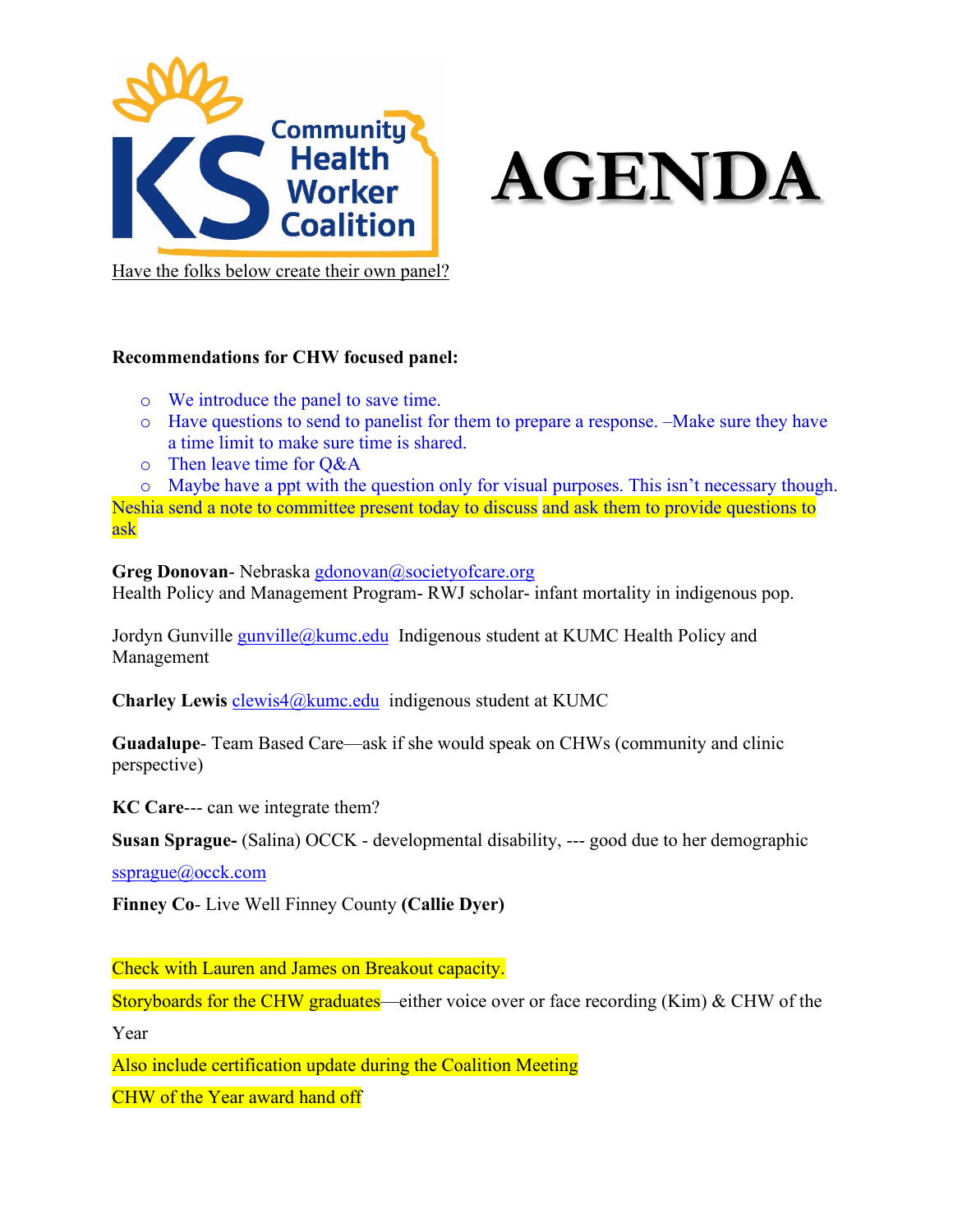



Have the folks below create their own panel?

## **Recommendations for CHW focused panel:**

- o We introduce the panel to save time.
- o Have questions to send to panelist for them to prepare a response. –Make sure they have a time limit to make sure time is shared.
- o Then leave time for Q&A

o Maybe have a ppt with the question only for visual purposes. This isn't necessary though.

Neshia send a note to committee present today to discuss and ask them to provide questions to ask

**Greg Donovan-** Nebraska [gdonovan@societyofcare.org](mailto:gdonovan@societyofcare.org) Health Policy and Management Program- RWJ scholar- infant mortality in indigenous pop.

Jordyn Gunville [gunville@kumc.edu](mailto:gunville@kumc.edu) Indigenous student at KUMC Health Policy and Management

**Charley Lewis** [clewis4@kumc.edu](mailto:clewis4@kumc.edu) indigenous student at KUMC

**Guadalupe**- Team Based Care—ask if she would speak on CHWs (community and clinic perspective)

**KC Care**--- can we integrate them?

**Susan Sprague-** (Salina) OCCK - developmental disability, --- good due to her demographic

[ssprague@occk.com](mailto:ssprague@occk.com)

**Finney Co**- Live Well Finney County **(Callie Dyer)**

Check with Lauren and James on Breakout capacity.

Storyboards for the CHW graduates—either voice over or face recording (Kim) & CHW of the

Year

Also include certification update during the Coalition Meeting

CHW of the Year award hand off